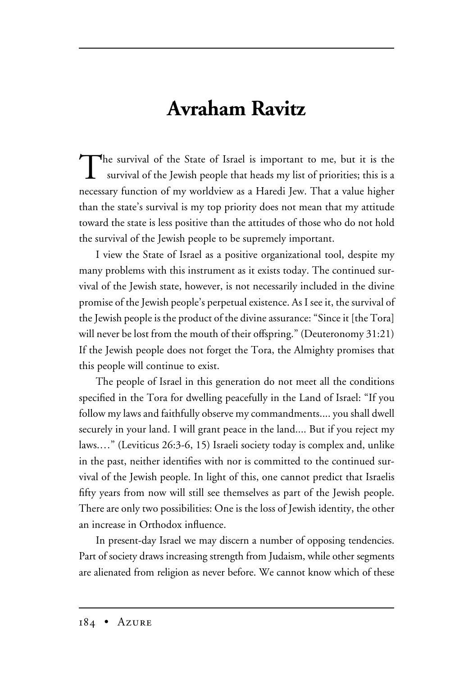## **Avraham Ravitz**

The survival of the State of Israel is important to me, but it is the survival of the Jewish people that heads my list of priorities; this is a necessary function of my worldview as a Haredi Jew. That a value higher than the state's survival is my top priority does not mean that my attitude toward the state is less positive than the attitudes of those who do not hold the survival of the Jewish people to be supremely important.

I view the State of Israel as a positive organizational tool, despite my many problems with this instrument as it exists today. The continued survival of the Jewish state, however, is not necessarily included in the divine promise of the Jewish people's perpetual existence. As I see it, the survival of the Jewish people is the product of the divine assurance: "Since it [the Tora] will never be lost from the mouth of their offspring." (Deuteronomy 31:21) If the Jewish people does not forget the Tora, the Almighty promises that this people will continue to exist.

The people of Israel in this generation do not meet all the conditions specified in the Tora for dwelling peacefully in the Land of Israel: "If you follow my laws and faithfully observe my commandments.... you shall dwell securely in your land. I will grant peace in the land.... But if you reject my laws.…" (Leviticus 26:3-6, 15) Israeli society today is complex and, unlike in the past, neither identifies with nor is committed to the continued survival of the Jewish people. In light of this, one cannot predict that Israelis fifty years from now will still see themselves as part of the Jewish people. There are only two possibilities: One is the loss of Jewish identity, the other an increase in Orthodox influence.

In present-day Israel we may discern a number of opposing tendencies. Part of society draws increasing strength from Judaism, while other segments are alienated from religion as never before. We cannot know which of these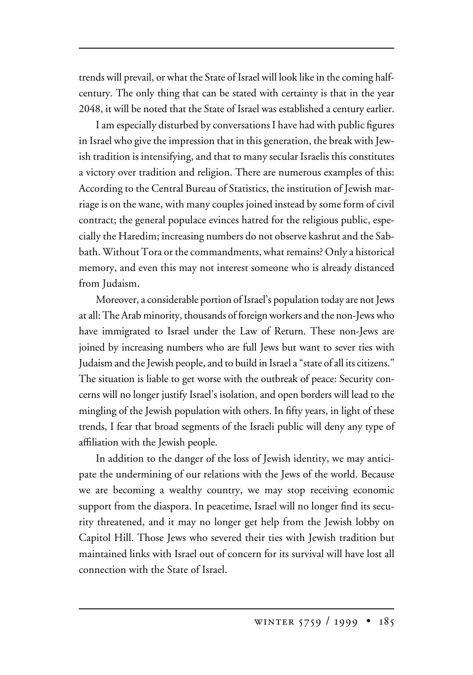trends will prevail, or what the State of Israel will look like in the coming halfcentury. The only thing that can be stated with certainty is that in the year 2048, it will be noted that the State of Israel was established a century earlier.

I am especially disturbed by conversations I have had with public figures in Israel who give the impression that in this generation, the break with Jewish tradition is intensifying, and that to many secular Israelis this constitutes a victory over tradition and religion. There are numerous examples of this: According to the Central Bureau of Statistics, the institution of Jewish marriage is on the wane, with many couples joined instead by some form of civil contract; the general populace evinces hatred for the religious public, especially the Haredim; increasing numbers do not observe kashrut and the Sabbath. Without Tora or the commandments, what remains? Only a historical memory, and even this may not interest someone who is already distanced from Judaism.

Moreover, a considerable portion of Israel's population today are not Jews at all: The Arab minority, thousands of foreign workers and the non-Jews who have immigrated to Israel under the Law of Return. These non-Jews are joined by increasing numbers who are full Jews but want to sever ties with Judaism and the Jewish people, and to build in Israel a "state of all its citizens." The situation is liable to get worse with the outbreak of peace: Security concerns will no longer justify Israel's isolation, and open borders will lead to the mingling of the Jewish population with others. In fifty years, in light of these trends, I fear that broad segments of the Israeli public will deny any type of affiliation with the Jewish people.

In addition to the danger of the loss of Jewish identity, we may anticipate the undermining of our relations with the Jews of the world. Because we are becoming a wealthy country, we may stop receiving economic support from the diaspora. In peacetime, Israel will no longer find its security threatened, and it may no longer get help from the Jewish lobby on Capitol Hill. Those Jews who severed their ties with Jewish tradition but maintained links with Israel out of concern for its survival will have lost all connection with the State of Israel.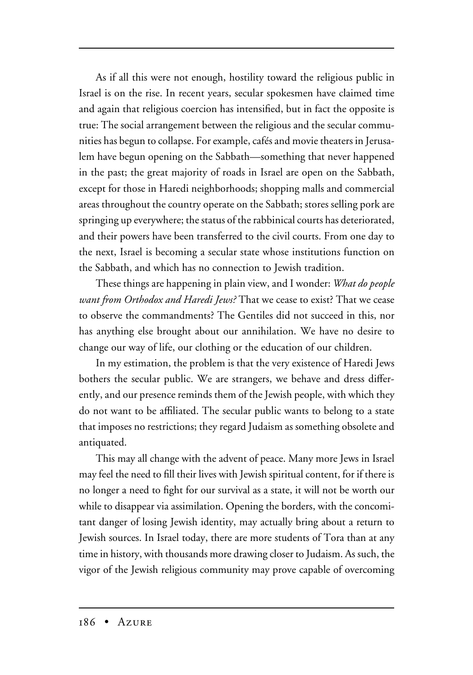As if all this were not enough, hostility toward the religious public in Israel is on the rise. In recent years, secular spokesmen have claimed time and again that religious coercion has intensified, but in fact the opposite is true: The social arrangement between the religious and the secular communities has begun to collapse. For example, cafés and movie theaters in Jerusalem have begun opening on the Sabbath—something that never happened in the past; the great majority of roads in Israel are open on the Sabbath, except for those in Haredi neighborhoods; shopping malls and commercial areas throughout the country operate on the Sabbath; stores selling pork are springing up everywhere; the status of the rabbinical courts has deteriorated, and their powers have been transferred to the civil courts. From one day to the next, Israel is becoming a secular state whose institutions function on the Sabbath, and which has no connection to Jewish tradition.

These things are happening in plain view, and I wonder: *What do people want from Orthodox and Haredi Jews?* That we cease to exist? That we cease to observe the commandments? The Gentiles did not succeed in this, nor has anything else brought about our annihilation. We have no desire to change our way of life, our clothing or the education of our children.

In my estimation, the problem is that the very existence of Haredi Jews bothers the secular public. We are strangers, we behave and dress differently, and our presence reminds them of the Jewish people, with which they do not want to be affiliated. The secular public wants to belong to a state that imposes no restrictions; they regard Judaism as something obsolete and antiquated.

This may all change with the advent of peace. Many more Jews in Israel may feel the need to fill their lives with Jewish spiritual content, for if there is no longer a need to fight for our survival as a state, it will not be worth our while to disappear via assimilation. Opening the borders, with the concomitant danger of losing Jewish identity, may actually bring about a return to Jewish sources. In Israel today, there are more students of Tora than at any time in history, with thousands more drawing closer to Judaism. As such, the vigor of the Jewish religious community may prove capable of overcoming